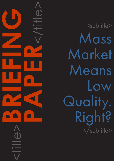**PAPER**<br>CONSTRAINS <title>**BRIEFING** h

<subtitle> Mass Market Means Low Quality. Right? </subtitle>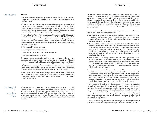# CAPDM Ltd. CAPDM Ltd.

### Introduction *Wrong!*

One comment we have heard many times over the years is 'that on-line distance programmes are generally addressing a mass market need therefore they must be of low quality'.

This is a *non sequitur*. The very fact that many distance programmes are aimed at a mass market suggests strongly that they have to be of a very high quality in order to be able to satisfy the exacting needs that market. Anyone who has ever launched a low quality product into the market knows that it stands or falls on its level of quality and fitness for purpose, and generally falls.

An earlier Briefing Paper (*'Treat students as distance learners'*) highlighted the fact that many distance programmes have actually benefited their students from a fresh design, a holistic development strategy and delivery potential to improve the overall student experience. Quality is vital and there are at least four areas where it is crucial to address the needs of a mass market, and where this quality is really felt:

- 1. Pedagogical & curriculum design;
- 2. Learning architectures and delivery;
- 3. Information architectures and content management;
- 4. Integrated administration systems.

The above comment tends to be made by people who have not looked at the distance offerings around today, and who are tainted by a belief that 'distance is bad'. In a sense this is odd because there have been many good distance programmes around for very many years, not least from the Open University which has been offering programmes and content of undoubted quality for many years. Many professional associations, too, have continued the development of their quality education services into the distance and on-line market.

There is some truth to the comment, though, particularly in those establishments who develop 'e-learning' programmes in an *ad hoc*, individually subjective, non-strategic manner often driven by the capabilities (or lack of them) of the delivery technologies

We were, perhaps naively, surprised to find out that a number of our UK universities do not have any institutionally-wide accepted Teaching & Learning strategies. Ironically the one issue that is causing most institutions to actually devise such strategies is 'e-learning' (though, more precisely, the development of distance and/or on-line courses). The story is better in the professional associations, who seem to have a tighter rein on the approach to their learning services.

Whichever approach is taken it is a fact that there is **more course planning** taking place than before. This is not limited to simply limited to what types of materials will be used, but expanded to include how much and what types of interactivity will engage learners with materials and tutors. There is also a drive to include more constructivist and behaviorist approaches in distance programmes, to ensure that students add to what they already know by applying what they are learning and to provide students with materials through they might explore and understand key concepts.

It is less of a surprise, therefore, that pedagogical and curriculum design – in higher education at least – is a hot topic. There is a lot of choice – constructivism, communities of practice and collaboration – examples of didactic and behaviourist approaches to learning. There is also a vast amount of learning theory underpinning developments, but what is most important is that a better articulation of different pedagogical processes, and their mapping onto tools and techniques, leads to a practical pedagogic approach and subsequent implementations.

A number of accepted approaches can be taken, each requiring an attention to detail in order to ensure that quality results:

- •User-centred where users must become involved in the design process somewhere. It is important here that the chosen design works well with a variety of users, and that their input be continually solicited to assist in course maintenance and revision.
- •Design-centred where tutors should be actively involved in the process to suggest the nature of the materials, the mode of operation and the level of interactivity between students and tutors. It is perhaps dangerous to reply solely on the tutors to do this as they tend not to be technical, or even learning, specialists in this area, and it is also not uncommon to find universities and professional associations using outside vendors to provide materials and structures.
- •Teacher-centred -- a design centered on a teacher's preferences with respect to materials and activities. Teachers, however, often maintain the educational orientation that is most familiar or comfortable for them, which is not necessarily the most effective for distance and/or on-line delivery which tends to require comprehensive and consistently structured materials, of high quality and rich variety.
- •Learner-centred while it is generally accepted that there is no single model for on-line distance learning, a safe bet for a 'best' approach might be learner-centric, where students' preferences are the determining factors in the overall design. This implies that tutors and/or materials developers need to consider students first in course and curriculum design, if only to ensure that they offer a degree of choice in the delivery to allow the student to make best personal use of the materials within their study patterns.

Of course, it can be argued that this level of thought and planning has always gone into curriculum and programme design, but it would be wrong to deny

Pedagogical & curriculum design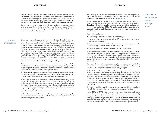# **Learning** architectures

## CAPDM Ltd. CAPDM Ltd.

that the enhanced visibility offered by distance and on-line learning, and that the more exacting requirements of off-campus students, has not accelerated this process. In one university where we worked there was a very good document on Curriculum Design but when we designed the on-line distance MBA programme we suspect we were one of the first parties to really read this guide and use it.

Course and curriculum design must reflect the students' progression through a series of carefully created and monitored learning experiences. This is an essential for mass market delivery and acceptance, but it should also be a quality measure taken by all programmes.

E-learning – a term with a potentially very wide definition – is carried out in every learning institution today, often developing content that is **instructional** (for building skills and capabilities) or even **informational** (delivering information) in nature. Most e-learning falls into the latter category typically using text, graphics, audio and some interactivity (e.g. in on-line testing) to engage users, but generally not involving decision-making, simulations, blended learning, or other techniques which are important in the development of developing new skills. Indeed many uses of e-learning equate to using the institutional VLE as a glorified 'file store' on which to post Word and PDF files and PowerPoint slides. There are many such tools around today that support a 'rapid e-learning', or publishing, model but with ease of development comes a potential lack of focus – focus on the fitness of the content over its eye-catching form.

These Briefing Papers are not intended to market CAPDM the company, but they can mention the origins of the name of the company, i.e. CAPDM the information flow model shown in the [CAPDM Model.](https://www.capdm.com/index.php/capdm-model/)

As it becomes easier to develop programmes with rich and exciting content, it also becomes easier to overdo the development, particularly with respect to the range of options available. Programme managers and their designers need a focus for their efforts, particularly the large team efforts.

This is where it is important of to have a formal Learning Architecture, even if it is a fairly simple one. There are examples of what we mean to be found in the Briefing Paper, *Assessments, Learning Objectives & Progress Reports*.

A 'learning architecture' is a framework offering guidelines for the structure and use of different types of content and delivery options – a template in fact. This is of great use while developing a programme, as it ensures that all contributors are clear on what is expected of them – and it should include quality measures too – but it also helps that students who use the materials to appreciate and understand exactly how to use them to best effect. The architecture serves as a guide for content development and delivery.

It also helps to phase in the inevitable changes in technologies as it keeps the focus on business objectives, the student needs, and the implementation of content strategies around standards.

This information flow model now looks fairly commonplace but it is important to understand why it is of value, including in the area of learning. It represents a discipline followed by many large scale electronic publishing works we were involved in during the late 1980s. This work showed that there were distinct, but repeated, steps involved in the overall process of content creation, management and delivery.

The model helped us to:

- •Avoid taking a disparate approach to each activity;
- •Take a strategic view to the overall workflow and problem of content management in particular;
- •Map tools and the use of information standards onto each process, but without being locked into a specific technology set;
- •Communicate the process and its needs to content contributors.

As many organisation today are now struggling with the problem of content management and publishing to the range of formats expected by their markets, the CAPDM model has helped to devise formal work flows, recognise information standards that support formal information architectures that can capture and represent the content **domain**, and to map the use of suitable  $-$  if transient  $$ technologies.

These technologies can be unavoidably complex and this can result in difficulties of use, which – most crucially – means that the 'solutions' are often poorly employed. This last point is important when quality is a goal.

The CAPDM model is recognizable in today's Enterprise Content Management (ECM) – a concept that means different things to different people, but in essence it is about helping everyone in an organisation to manage ('find, use, share and keep') content, particularly unstructured information. ECM generally includes processes to streamline the publication, and improve the quality, of information, but it can also refer to the automation of specific business processes – e.g. creating, editing or publishing documents – and to the management of information.

The CAPDM model is certainly about content management (the CM part) and naturally fits in at any level of use – including the enterprise (the E part).

Neither ECM nor CAPDM are about software, though there is obviously going to be software and systems in the implementation of each, but each is really an organised and systematic approach to the management of information. In developing distance programmes, built on an information asset approach, it is important that this discipline is able to combine a wide variety of technologies and technical components – able to be used as stand-alone systems if need

Information architectures & content management